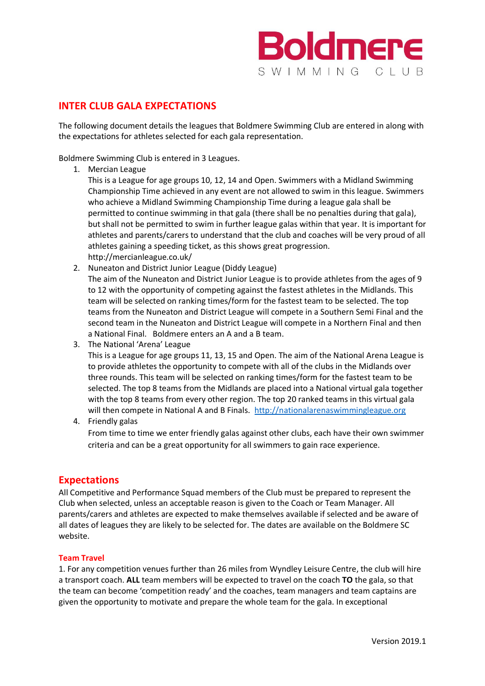

# **INTER CLUB GALA EXPECTATIONS**

The following document details the leagues that Boldmere Swimming Club are entered in along with the expectations for athletes selected for each gala representation.

Boldmere Swimming Club is entered in 3 Leagues.

1. Mercian League

This is a League for age groups 10, 12, 14 and Open. Swimmers with a Midland Swimming Championship Time achieved in any event are not allowed to swim in this league. Swimmers who achieve a Midland Swimming Championship Time during a league gala shall be permitted to continue swimming in that gala (there shall be no penalties during that gala), but shall not be permitted to swim in further league galas within that year. It is important for athletes and parents/carers to understand that the club and coaches will be very proud of all athletes gaining a speeding ticket, as this shows great progression. http://mercianleague.co.uk/

2. Nuneaton and District Junior League (Diddy League) The aim of the Nuneaton and District Junior League is to provide athletes from the ages of 9 to 12 with the opportunity of competing against the fastest athletes in the Midlands. This team will be selected on ranking times/form for the fastest team to be selected. The top teams from the Nuneaton and District League will compete in a Southern Semi Final and the second team in the Nuneaton and District League will compete in a Northern Final and then a National Final. Boldmere enters an A and a B team.

3. The National 'Arena' League

This is a League for age groups 11, 13, 15 and Open. The aim of the National Arena League is to provide athletes the opportunity to compete with all of the clubs in the Midlands over three rounds. This team will be selected on ranking times/form for the fastest team to be selected. The top 8 teams from the Midlands are placed into a National virtual gala together with the top 8 teams from every other region. The top 20 ranked teams in this virtual gala will then compete in National A and B Finals. [http://nationalarenaswimmingleague.org](http://nationalarenaswimmingleague.org/)

4. Friendly galas

From time to time we enter friendly galas against other clubs, each have their own swimmer criteria and can be a great opportunity for all swimmers to gain race experience.

# **Expectations**

All Competitive and Performance Squad members of the Club must be prepared to represent the Club when selected, unless an acceptable reason is given to the Coach or Team Manager. All parents/carers and athletes are expected to make themselves available if selected and be aware of all dates of leagues they are likely to be selected for. The dates are available on the Boldmere SC website.

## **Team Travel**

1. For any competition venues further than 26 miles from Wyndley Leisure Centre, the club will hire a transport coach. **ALL** team members will be expected to travel on the coach **TO** the gala, so that the team can become 'competition ready' and the coaches, team managers and team captains are given the opportunity to motivate and prepare the whole team for the gala. In exceptional